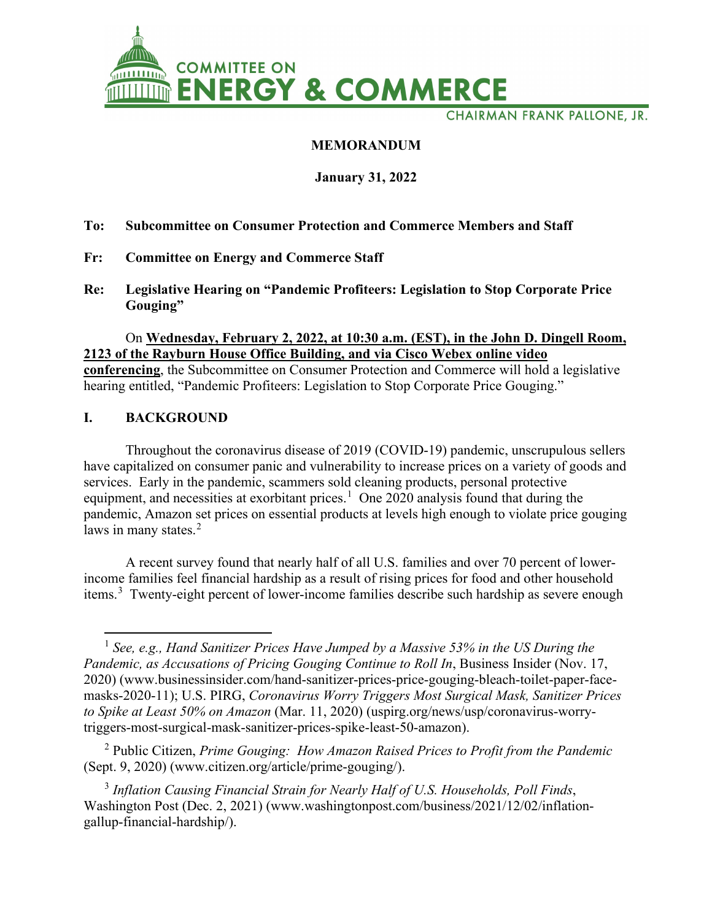

**CHAIRMAN FRANK PALLONE, JR.** 

# **MEMORANDUM**

### **January 31, 2022**

### **To: Subcommittee on Consumer Protection and Commerce Members and Staff**

- **Fr: Committee on Energy and Commerce Staff**
- **Re: Legislative Hearing on "Pandemic Profiteers: Legislation to Stop Corporate Price Gouging"**

#### On **Wednesday, February 2, 2022, at 10:30 a.m. (EST), in the John D. Dingell Room, 2123 of the Rayburn House Office Building, and via Cisco Webex online video**

**conferencing**, the Subcommittee on Consumer Protection and Commerce will hold a legislative hearing entitled, "Pandemic Profiteers: Legislation to Stop Corporate Price Gouging."

### **I. BACKGROUND**

Throughout the coronavirus disease of 2019 (COVID-19) pandemic, unscrupulous sellers have capitalized on consumer panic and vulnerability to increase prices on a variety of goods and services. Early in the pandemic, scammers sold cleaning products, personal protective equipment, and necessities at exorbitant prices.<sup>[1](#page-0-0)</sup> One 2020 analysis found that during the pandemic, Amazon set prices on essential products at levels high enough to violate price gouging laws in many states.<sup>[2](#page-0-1)</sup>

A recent survey found that nearly half of all U.S. families and over 70 percent of lowerincome families feel financial hardship as a result of rising prices for food and other household items.<sup>[3](#page-0-2)</sup> Twenty-eight percent of lower-income families describe such hardship as severe enough

<span id="page-0-1"></span><sup>2</sup> Public Citizen, *Prime Gouging: How Amazon Raised Prices to Profit from the Pandemic* (Sept. 9, 2020) (www.citizen.org/article/prime-gouging/).

<span id="page-0-2"></span><sup>3</sup> *Inflation Causing Financial Strain for Nearly Half of U.S. Households, Poll Finds*, Washington Post (Dec. 2, 2021) (www.washingtonpost.com/business/2021/12/02/inflationgallup-financial-hardship/).

<span id="page-0-0"></span><sup>&</sup>lt;sup>1</sup> *See, e.g., Hand Sanitizer Prices Have Jumped by a Massive 53% in the US During the Pandemic, as Accusations of Pricing Gouging Continue to Roll In*, Business Insider (Nov. 17, 2020) (www.businessinsider.com/hand-sanitizer-prices-price-gouging-bleach-toilet-paper-facemasks-2020-11); U.S. PIRG, *Coronavirus Worry Triggers Most Surgical Mask, Sanitizer Prices to Spike at Least 50% on Amazon* (Mar. 11, 2020) (uspirg.org/news/usp/coronavirus-worrytriggers-most-surgical-mask-sanitizer-prices-spike-least-50-amazon).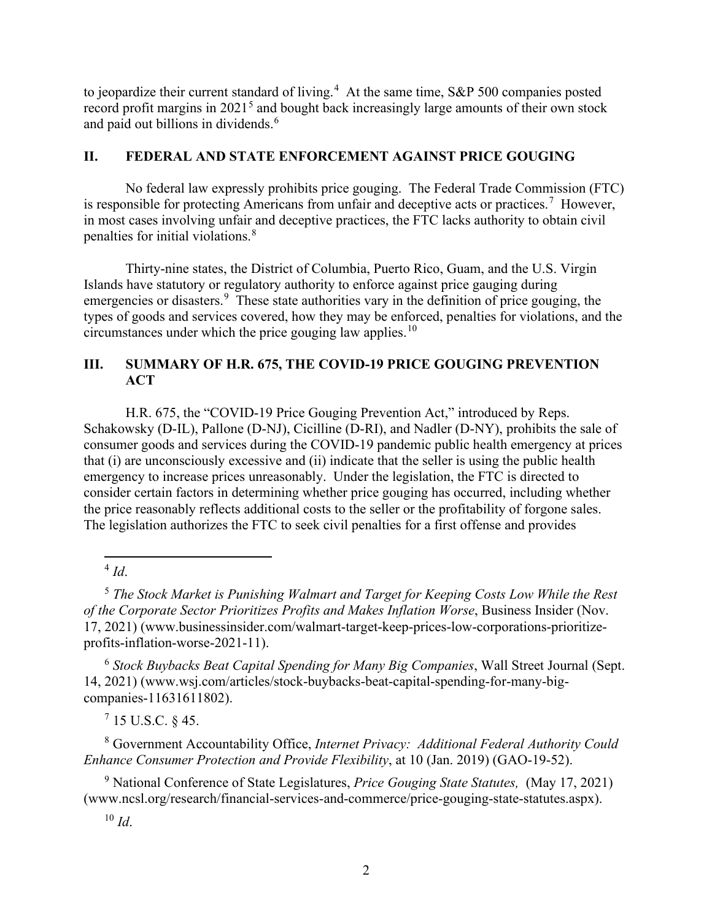to jeopardize their current standard of living.<sup>[4](#page-1-0)</sup> At the same time, S&P 500 companies posted record profit margins in  $2021<sup>5</sup>$  $2021<sup>5</sup>$  $2021<sup>5</sup>$  and bought back increasingly large amounts of their own stock and paid out billions in dividends.<sup>[6](#page-1-2)</sup>

### **II. FEDERAL AND STATE ENFORCEMENT AGAINST PRICE GOUGING**

No federal law expressly prohibits price gouging. The Federal Trade Commission (FTC) is responsible for protecting Americans from unfair and deceptive acts or practices.<sup>[7](#page-1-3)</sup> However, in most cases involving unfair and deceptive practices, the FTC lacks authority to obtain civil penalties for initial violations.<sup>[8](#page-1-4)</sup>

Thirty-nine states, the District of Columbia, Puerto Rico, Guam, and the U.S. Virgin Islands have statutory or regulatory authority to enforce against price gauging during emergencies or disasters.<sup>[9](#page-1-5)</sup> These state authorities vary in the definition of price gouging, the types of goods and services covered, how they may be enforced, penalties for violations, and the circumstances under which the price gouging law applies.<sup>10</sup>

# **III. SUMMARY OF H.R. 675, THE COVID-19 PRICE GOUGING PREVENTION ACT**

H.R. 675, the "COVID-19 Price Gouging Prevention Act," introduced by Reps. Schakowsky (D-IL), Pallone (D-NJ), Cicilline (D-RI), and Nadler (D-NY), prohibits the sale of consumer goods and services during the COVID-19 pandemic public health emergency at prices that (i) are unconsciously excessive and (ii) indicate that the seller is using the public health emergency to increase prices unreasonably. Under the legislation, the FTC is directed to consider certain factors in determining whether price gouging has occurred, including whether the price reasonably reflects additional costs to the seller or the profitability of forgone sales. The legislation authorizes the FTC to seek civil penalties for a first offense and provides

<sup>4</sup> *Id*.

<span id="page-1-1"></span><span id="page-1-0"></span><sup>5</sup> *The Stock Market is Punishing Walmart and Target for Keeping Costs Low While the Rest of the Corporate Sector Prioritizes Profits and Makes Inflation Worse*, Business Insider (Nov. 17, 2021) (www.businessinsider.com/walmart-target-keep-prices-low-corporations-prioritizeprofits-inflation-worse-2021-11).

<span id="page-1-2"></span><sup>6</sup> *Stock Buybacks Beat Capital Spending for Many Big Companies*, Wall Street Journal (Sept. 14, 2021) (www.wsj.com/articles/stock-buybacks-beat-capital-spending-for-many-bigcompanies-11631611802).

 $715$  U.S.C.  $845$ .

<span id="page-1-4"></span><span id="page-1-3"></span><sup>8</sup> Government Accountability Office, *Internet Privacy: Additional Federal Authority Could Enhance Consumer Protection and Provide Flexibility*, at 10 (Jan. 2019) (GAO-19-52).

<span id="page-1-6"></span><span id="page-1-5"></span><sup>9</sup> National Conference of State Legislatures, *Price Gouging State Statutes,* (May 17, 2021) (www.ncsl.org/research/financial-services-and-commerce/price-gouging-state-statutes.aspx).

<sup>10</sup> *Id*.